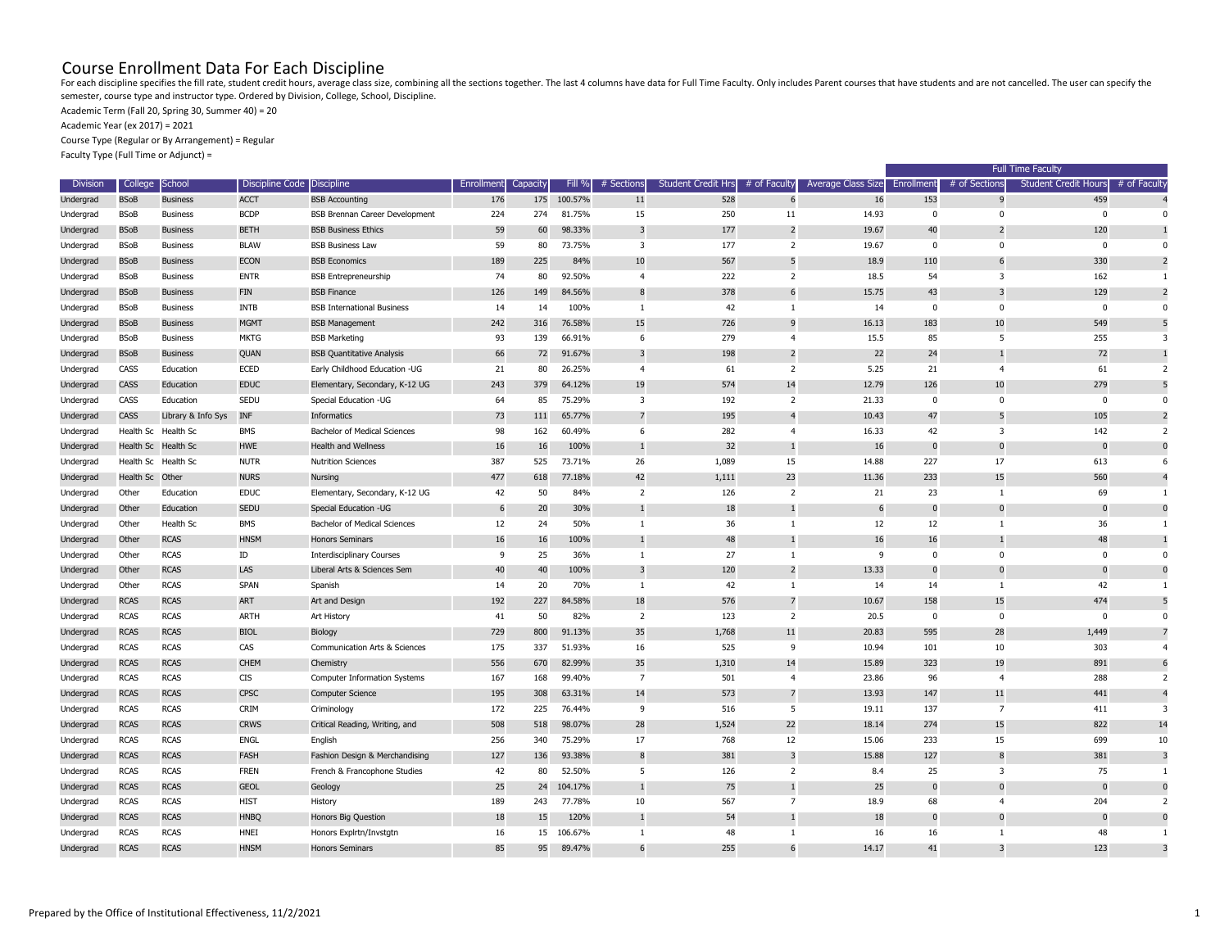## Course Enrollment Data For Each Discipline

Academic Term (Fall 20, Spring 30, Summer 40) = 20

Academic Year (ex 2017) = 2021

Course Type (Regular or By Arrangement) = Regular

Faculty Type (Full Time or Adjunct) =

| <b>Division</b> | <b>College</b>  | <b>School</b>       | Discipline Code Discipline |                                       | Enrollment | Capacity | Fill %     | # Sections     | <b>Student Credit Hrs</b> | # of Faculty   | Average Class Size | Enrollment | # of Sections           | <b>Student Credit Hours</b> | # of Faculty |
|-----------------|-----------------|---------------------|----------------------------|---------------------------------------|------------|----------|------------|----------------|---------------------------|----------------|--------------------|------------|-------------------------|-----------------------------|--------------|
| Undergrad       | <b>BSoB</b>     | <b>Business</b>     | <b>ACCT</b>                | <b>BSB Accounting</b>                 | 176        | 175      | 100.57%    | 11             | 528                       | -6             | 16                 | 153        |                         | 459                         |              |
| Undergrad       | <b>BSoB</b>     | <b>Business</b>     | <b>BCDP</b>                | <b>BSB Brennan Career Development</b> | 224        | 274      | 81.75%     | 15             | 250                       | 11             | 14.93              |            |                         |                             |              |
| Undergrad       | <b>BSoB</b>     | <b>Business</b>     | <b>BETH</b>                | <b>BSB Business Ethics</b>            | 59         | 60       | 98.33%     | 3              | 177                       | $\overline{2}$ | 19.67              | 40         |                         | 120                         |              |
| Undergrad       | <b>BSoB</b>     | <b>Business</b>     | <b>BLAW</b>                | <b>BSB Business Law</b>               | 59         | 80       | 73.75%     | $\overline{3}$ | 177                       | 2              | 19.67              | $\Omega$   | $\Omega$                | $\Omega$                    |              |
| Undergrad       | <b>BSoB</b>     | <b>Business</b>     | <b>ECON</b>                | <b>BSB Economics</b>                  | 189        | 225      | 84%        | 10             | 567                       | -5             | 18.9               | 110        |                         | 330                         |              |
| Undergrad       | <b>BSoB</b>     | <b>Business</b>     | <b>ENTR</b>                | <b>BSB Entrepreneurship</b>           | 74         | 80       | 92.50%     | $\overline{4}$ | 222                       | 2              | 18.5               | 54         | 3                       | 162                         |              |
| Undergrad       | <b>BSoB</b>     | <b>Business</b>     | <b>FIN</b>                 | <b>BSB Finance</b>                    | 126        | 149      | 84.56%     |                | 378                       | 6              | 15.75              | 43         |                         | 129                         |              |
| Undergrad       | <b>BSoB</b>     | <b>Business</b>     | INTB                       | <b>BSB International Business</b>     | 14         | 14       | 100%       |                | 42                        |                | 14                 | 0          | - 0                     | $\Omega$                    |              |
| Undergrad       | <b>BSoB</b>     | <b>Business</b>     | <b>MGMT</b>                | <b>BSB Management</b>                 | 242        | 316      | 76.58%     | 15             | 726                       | -9             | 16.13              | 183        | 10                      | 549                         |              |
| Undergrad       | <b>BSoB</b>     | <b>Business</b>     | MKTG                       | <b>BSB Marketing</b>                  | 93         | 139      | 66.91%     | 6              | 279                       | -4             | 15.5               | 85         | -5                      | 255                         |              |
| Undergrad       | <b>BSoB</b>     | <b>Business</b>     | QUAN                       | <b>BSB Quantitative Analysis</b>      | 66         | 72       | 91.67%     |                | 198                       | 2              | 22                 | 24         |                         | 72                          |              |
| Undergrad       | CASS            | Education           | <b>ECED</b>                | Early Childhood Education -UG         | 21         | 80       | 26.25%     | 4              | 61                        | $\overline{2}$ | 5.25               | 21         |                         | 61                          |              |
| Undergrad       | <b>CASS</b>     | Education           | <b>EDUC</b>                | Elementary, Secondary, K-12 UG        | 243        | 379      | 64.12%     | 19             | 574                       | 14             | 12.79              | 126        | 10                      | 279                         |              |
| Undergrad       | CASS            | Education           | SEDU                       | Special Education -UG                 | 64         | 85       | 75.29%     | 3              | 192                       | 2              | 21.33              | $\Omega$   |                         |                             |              |
| Undergrad       | <b>CASS</b>     | Library & Info Sys  | <b>INF</b>                 | Informatics                           | 73         | 111      | 65.77%     |                | 195                       |                | 10.43              | 47         |                         | 105                         |              |
| Undergrad       |                 | Health Sc Health Sc | BMS                        | Bachelor of Medical Sciences          | 98         | 162      | 60.49%     | 6              | 282                       | 4              | 16.33              | 42         | -3                      | 142                         |              |
| Undergrad       |                 | Health Sc Health Sc | <b>HWE</b>                 | Health and Wellness                   | 16         | 16       | 100%       |                | 32                        |                | 16                 | 0          |                         | - 0                         |              |
| Undergrad       | Health Sc       | Health Sc           | <b>NUTR</b>                | <b>Nutrition Sciences</b>             | 387        | 525      | 73.71%     | 26             | 1,089                     | 15             | 14.88              | 227        | 17                      | 613                         |              |
| Undergrad       | Health Sc Other |                     | <b>NURS</b>                | <b>Nursing</b>                        | 477        | 618      | 77.18%     | 42             | 1,111                     | 23             | 11.36              | 233        | 15                      | 560                         |              |
| Undergrad       | Other           | Education           | <b>EDUC</b>                | Elementary, Secondary, K-12 UG        | 42         | 50       | 84%        | 2              | 126                       | 2              | 21                 | 23         |                         | 69                          |              |
| Undergrad       | Other           | Education           | <b>SEDU</b>                | Special Education -UG                 |            | 20       | 30%        |                | 18                        |                | 6                  |            |                         |                             |              |
| Undergrad       | Other           | Health Sc           | <b>BMS</b>                 | Bachelor of Medical Sciences          | 12         | 24       | 50%        |                | 36                        |                | 12                 | 12         |                         | 36                          |              |
| Undergrad       | Other           | <b>RCAS</b>         | <b>HNSM</b>                | Honors Seminars                       | 16         | 16       | 100%       |                | 48                        |                | 16                 | 16         |                         | 48                          |              |
| Undergrad       | Other           | <b>RCAS</b>         | ID                         | <b>Interdisciplinary Courses</b>      | q          | 25       | 36%        |                | 27                        |                | 9                  |            |                         |                             |              |
| Undergrad       | Other           | <b>RCAS</b>         | LAS                        | Liberal Arts & Sciences Sem           | 40         | 40       | 100%       |                | 120                       | $\overline{2}$ | 13.33              |            |                         |                             |              |
| Undergrad       | Other           | <b>RCAS</b>         | <b>SPAN</b>                | Spanish                               | 14         | 20       | 70%        |                | 42                        |                | 14                 | 14         |                         | 42                          |              |
| Undergrad       | <b>RCAS</b>     | <b>RCAS</b>         | <b>ART</b>                 | Art and Design                        | 192        | 227      | 84.58%     | 18             | 576                       | $\overline{7}$ | 10.67              | 158        | 15                      | 474                         |              |
| Undergrad       | <b>RCAS</b>     | <b>RCAS</b>         | ARTH                       | Art History                           | 41         | 50       | 82%        | $\overline{2}$ | 123                       | 2              | 20.5               | $\Omega$   | - 0                     | - 0                         |              |
| Undergrad       | <b>RCAS</b>     | <b>RCAS</b>         | <b>BIOL</b>                | Biology                               | 729        | 800      | 91.13%     | 35             | 1,768                     | 11             | 20.83              | 595        | 28                      | 1,449                       |              |
| Undergrad       | <b>RCAS</b>     | <b>RCAS</b>         | CAS                        | Communication Arts & Sciences         | 175        | 337      | 51.93%     | 16             | 525                       | 9              | 10.94              | 101        | 10                      | 303                         |              |
| Undergrad       | <b>RCAS</b>     | <b>RCAS</b>         | <b>CHEM</b>                | Chemistry                             | 556        | 670      | 82.99%     | 35             | 1,310                     | 14             | 15.89              | 323        | 19                      | 891                         |              |
| Undergrad       | <b>RCAS</b>     | <b>RCAS</b>         | <b>CIS</b>                 | Computer Information Systems          | 167        | 168      | 99.40%     | 7              | 501                       | $\overline{4}$ | 23.86              | 96         | $\overline{a}$          | 288                         |              |
| Undergrad       | <b>RCAS</b>     | <b>RCAS</b>         | <b>CPSC</b>                | Computer Science                      | 195        | 308      | 63.31%     | 14             | 573                       | $\overline{7}$ | 13.93              | 147        | 11                      | 441                         |              |
| Undergrad       | <b>RCAS</b>     | <b>RCAS</b>         | CRIM                       | Criminology                           | 172        | 225      | 76.44%     | 9              | 516                       | -5             | 19.11              | 137        | 7                       | 411                         |              |
| Undergrad       | <b>RCAS</b>     | <b>RCAS</b>         | <b>CRWS</b>                | Critical Reading, Writing, and        | 508        | 518      | 98.07%     | 28             | 1,524                     | 22             | 18.14              | 274        | 15                      | 822                         | 14           |
| Undergrad       | <b>RCAS</b>     | <b>RCAS</b>         | ENGL                       | English                               | 256        | 340      | 75.29%     | 17             | 768                       | 12             | 15.06              | 233        | 15                      | 699                         | 10           |
| Undergrad       | <b>RCAS</b>     | <b>RCAS</b>         | <b>FASH</b>                | Fashion Design & Merchandising        | 127        | 136      | 93.38%     | 8              | 381                       | $\overline{3}$ | 15.88              | 127        | 8                       | 381                         |              |
| Undergrad       | <b>RCAS</b>     | <b>RCAS</b>         | <b>FREN</b>                | French & Francophone Studies          | 42         | 80       | 52.50%     | - 5            | 126                       | 2              | 8.4                | 25         | 3                       | 75                          |              |
| Undergrad       | <b>RCAS</b>     | <b>RCAS</b>         | <b>GEOL</b>                | Geology                               | 25         | 24       | 104.17%    | $\mathbf{1}$   | 75                        | $\mathbf{1}$   | 25                 | $\bf{0}$   | $\overline{\mathbf{0}}$ | $\mathbf 0$                 |              |
| Undergrad       | <b>RCAS</b>     | <b>RCAS</b>         | <b>HIST</b>                | History                               | 189        | 243      | 77.78%     | 10             | 567                       | $\overline{7}$ | 18.9               | 68         | $\boldsymbol{\Delta}$   | 204                         |              |
| Undergrad       | <b>RCAS</b>     | <b>RCAS</b>         | <b>HNBQ</b>                | Honors Big Question                   | 18         | 15       | 120%       | $\mathbf{1}$   | 54                        |                | 18                 | $\bf{0}$   | $\mathbf 0$             | $\mathbf 0$                 |              |
| Undergrad       | <b>RCAS</b>     | <b>RCAS</b>         | HNEI                       | Honors Explrtn/Invstgtn               | 16         |          | 15 106.67% |                | 48                        | -1             | 16                 | 16         |                         | 48                          |              |
| Undergrad       | <b>RCAS</b>     | <b>RCAS</b>         | <b>HNSM</b>                | Honors Seminars                       | 85         | 95       | 89.47%     | 6              | 255                       | 6              | 14.17              | 41         | 3                       | 123                         |              |

For each discipline specifies the fill rate, student credit hours, average class size, combining all the sections together. The last 4 columns have data for Full Time Faculty. Only includes Parent courses that have student semester, course type and instructor type. Ordered by Division, College, School, Discipline.

| <b>Full Time Faculty</b> |                         |                             |                         |  |  |  |  |  |  |
|--------------------------|-------------------------|-----------------------------|-------------------------|--|--|--|--|--|--|
| ent                      | # of Sections           | <b>Student Credit Hours</b> | # of Faculty            |  |  |  |  |  |  |
| 153                      | 9                       | 459                         | $\overline{4}$          |  |  |  |  |  |  |
| $\pmb{0}$                | 0                       | 0                           | 0                       |  |  |  |  |  |  |
| 40                       | $\overline{\mathbf{c}}$ | 120                         | $\mathbf{1}$            |  |  |  |  |  |  |
| $\boldsymbol{0}$         | 0                       | 0                           | 0                       |  |  |  |  |  |  |
| 110                      | 6                       | 330                         | $\overline{\mathbf{c}}$ |  |  |  |  |  |  |
| 54                       | 3                       | 162                         | $\mathbf{1}$            |  |  |  |  |  |  |
| 43                       | 3                       | 129                         | $\overline{c}$          |  |  |  |  |  |  |
| $\mathbf 0$              | 0                       | 0                           | 0                       |  |  |  |  |  |  |
| 183                      | 10                      | 549                         | 5                       |  |  |  |  |  |  |
| 85                       | 5                       | 255                         | 3                       |  |  |  |  |  |  |
| 24                       | $\mathbf 1$             | 72                          | $\mathbf{1}$            |  |  |  |  |  |  |
| 21                       | 4                       | 61                          | $\overline{\mathbf{c}}$ |  |  |  |  |  |  |
| 126                      | 10                      | 279                         | 5                       |  |  |  |  |  |  |
| $\boldsymbol{0}$         | 0                       | $\pmb{0}$                   | $\mathbf 0$             |  |  |  |  |  |  |
| 47                       | 5                       | 105                         | $\overline{\mathbf{c}}$ |  |  |  |  |  |  |
| 42                       | 3                       | 142                         | $\overline{\mathbf{c}}$ |  |  |  |  |  |  |
| $\pmb{0}$                | $\pmb{0}$               | $\pmb{0}$                   | $\mathbf{0}$            |  |  |  |  |  |  |
| 227                      | 17                      | 613                         | 6                       |  |  |  |  |  |  |
| 233                      | 15                      | 560                         | 4                       |  |  |  |  |  |  |
| 23                       | $\mathbf 1$             | 69                          | $\mathbf{1}$            |  |  |  |  |  |  |
| $\pmb{0}$                | 0                       | $\pmb{0}$                   | $\mathbf{0}$            |  |  |  |  |  |  |
| 12                       | $\mathbf{1}$            | 36                          | $\mathbf{1}$            |  |  |  |  |  |  |
| 16                       | $\mathbf{1}$            | 48                          | $\mathbf{1}$            |  |  |  |  |  |  |
| $\boldsymbol{0}$         | 0                       | $\pmb{0}$                   | 0                       |  |  |  |  |  |  |
| $\pmb{0}$                | 0                       | 0                           | $\mathbf{0}$            |  |  |  |  |  |  |
| 14                       | $\mathbf{1}$            | 42                          | $\mathbf{1}$            |  |  |  |  |  |  |
| 158                      | 15                      | 474                         | 5                       |  |  |  |  |  |  |
| 0                        | 0                       | 0                           | 0                       |  |  |  |  |  |  |
| 595                      | 28                      | 1,449                       | 7                       |  |  |  |  |  |  |
| 101                      | 10                      | 303                         | 4                       |  |  |  |  |  |  |
| 323                      | 19                      | 891                         | 6                       |  |  |  |  |  |  |
| 96                       | $\overline{\mathbf{4}}$ | 288                         | $\overline{\mathbf{c}}$ |  |  |  |  |  |  |
| 147                      | $11\,$                  | 441                         | 4                       |  |  |  |  |  |  |
| 137                      | 7                       | 411                         | 3                       |  |  |  |  |  |  |
| 274                      | 15                      | 822                         | 14                      |  |  |  |  |  |  |
| 233                      | 15                      | 699                         | 10                      |  |  |  |  |  |  |
| 127                      | 8                       | 381                         | 3                       |  |  |  |  |  |  |
| 25                       | 3                       | 75                          | $\mathbf{1}$            |  |  |  |  |  |  |
| $\bf{0}$                 | 0                       | $\bf{0}$                    | $\mathbf{0}$            |  |  |  |  |  |  |
| 68                       | $\overline{\mathbf{4}}$ | 204                         | $\overline{\mathbf{c}}$ |  |  |  |  |  |  |
| $\bf{0}$                 | 0                       | $\bf{0}$                    | $\mathbf{0}$            |  |  |  |  |  |  |
| 16                       | $\mathbf{1}$            | 48                          | $\mathbf{1}$            |  |  |  |  |  |  |
| 41                       | 3                       | 123                         | 3                       |  |  |  |  |  |  |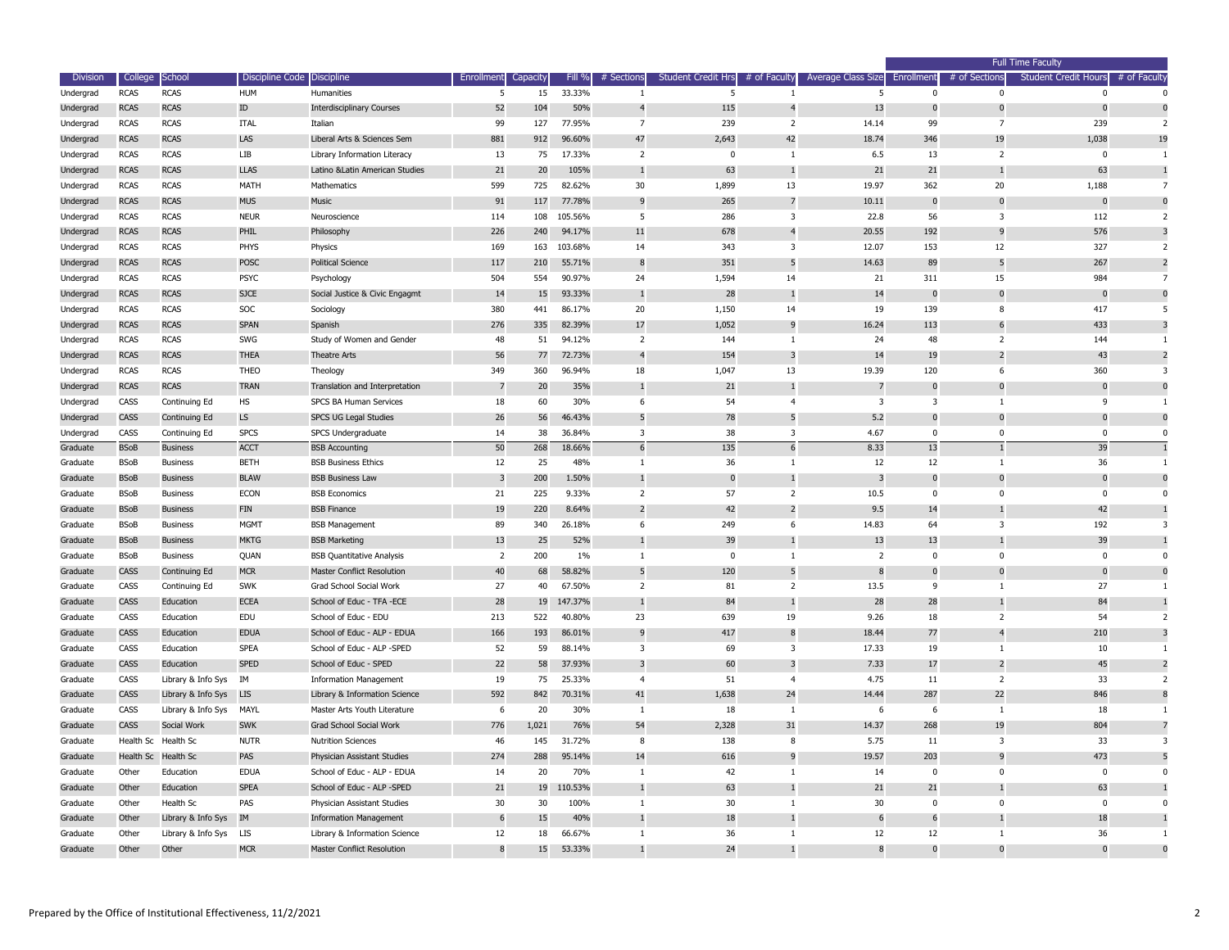| <b>Division</b> | College     | School                 | Discipline Code Discipline |                                   | Enrollment | Capacity | Fill %  | # Sections              | <b>Student Credit Hrs</b> | # of Faculty   | <b>Average Class Size</b> | Enrollment   | # of Sections            | <b>Student Credit Hours</b> | # of Faculty |
|-----------------|-------------|------------------------|----------------------------|-----------------------------------|------------|----------|---------|-------------------------|---------------------------|----------------|---------------------------|--------------|--------------------------|-----------------------------|--------------|
| Undergrad       | <b>RCAS</b> | <b>RCAS</b>            | HUM                        | Humanities                        |            | 15       | 33.33%  |                         | 5                         |                | 5                         | $\Omega$     | $\Omega$                 |                             |              |
| Undergrad       | <b>RCAS</b> | <b>RCAS</b>            | ${\rm ID}$                 | <b>Interdisciplinary Courses</b>  | 52         | 104      | 50%     |                         | 115                       | -4             | 13                        |              |                          |                             |              |
| Undergrad       | <b>RCAS</b> | <b>RCAS</b>            | ITAL                       | Italian                           | 99         | 127      | 77.95%  | 7                       | 239                       | 2              | 14.14                     | 99           | - 7                      | 239                         |              |
| Undergrad       | <b>RCAS</b> | <b>RCAS</b>            | LAS                        | Liberal Arts & Sciences Sem       | 881        | 912      | 96.60%  | 47                      | 2,643                     | 42             | 18.74                     | 346          | 19                       | 1,038                       | 19           |
| Undergrad       | <b>RCAS</b> | <b>RCAS</b>            | LIB                        | Library Information Literacy      | 13         | 75       | 17.33%  | $\overline{2}$          | $\Omega$                  | $\mathbf{1}$   | 6.5                       | 13           | $\overline{2}$           |                             |              |
| Undergrad       | <b>RCAS</b> | <b>RCAS</b>            | <b>LLAS</b>                | Latino & Latin American Studies   | 21         | 20       | 105%    |                         | 63                        |                | 21                        | 21           |                          | 63                          |              |
| Undergrad       | <b>RCAS</b> | <b>RCAS</b>            | MATH                       | Mathematics                       | 599        | 725      | 82.62%  | 30                      | 1,899                     | 13             | 19.97                     | 362          | 20                       | 1,188                       |              |
| Undergrad       | <b>RCAS</b> | <b>RCAS</b>            | <b>MUS</b>                 | <b>Music</b>                      | 91         | 117      | 77.78%  | <sub>9</sub>            | 265                       |                | 10.11                     | 0            |                          | 0                           |              |
| Undergrad       | <b>RCAS</b> | <b>RCAS</b>            | <b>NEUR</b>                | Neuroscience                      | 114        | 108      | 105.56% | -5                      | 286                       | 3              | 22.8                      | 56           | -3                       | 112                         |              |
| Undergrad       | <b>RCAS</b> | <b>RCAS</b>            | PHIL                       | Philosophy                        | 226        | 240      | 94.17%  | 11                      | 678                       | $\overline{4}$ | 20.55                     | 192          | -9                       | 576                         |              |
| Undergrad       | <b>RCAS</b> | <b>RCAS</b>            | PHYS                       | Physics                           | 169        | 163      | 103.68% | 14                      | 343                       | 3              | 12.07                     | 153          | 12                       | 327                         |              |
| Undergrad       | <b>RCAS</b> | <b>RCAS</b>            | <b>POSC</b>                | <b>Political Science</b>          | 117        | 210      | 55.71%  | 8                       | 351                       | -5             | 14.63                     | 89           |                          | 267                         |              |
| Undergrad       | <b>RCAS</b> | <b>RCAS</b>            | <b>PSYC</b>                | Psychology                        | 504        | 554      | 90.97%  | 24                      | 1,594                     | 14             | 21                        | 311          | 15                       | 984                         |              |
| Undergrad       | <b>RCAS</b> | <b>RCAS</b>            | <b>SJCE</b>                | Social Justice & Civic Engagmt    | 14         | 15       | 93.33%  |                         | 28                        |                | 14                        | 0            |                          | $\overline{0}$              |              |
| Undergrad       | <b>RCAS</b> | <b>RCAS</b>            | SOC                        | Sociology                         | 380        | 441      | 86.17%  | 20                      | 1,150                     | 14             | 19                        | 139          | -8                       | 417                         |              |
| Undergrad       | <b>RCAS</b> | <b>RCAS</b>            | <b>SPAN</b>                | Spanish                           | 276        | 335      | 82.39%  | 17                      | 1,052                     | 9              | 16.24                     | 113          | -6                       | 433                         |              |
| Undergrad       | <b>RCAS</b> | <b>RCAS</b>            | SWG                        | Study of Women and Gender         | 48         | 51       | 94.12%  | 2                       | 144                       | -1             | 24                        | 48           | $\overline{\phantom{a}}$ | 144                         |              |
| Undergrad       | <b>RCAS</b> | <b>RCAS</b>            | <b>THEA</b>                | <b>Theatre Arts</b>               | 56         | 77       | 72.73%  |                         | 154                       | 3              | 14                        | 19           |                          | 43                          |              |
| Undergrad       | <b>RCAS</b> | <b>RCAS</b>            | <b>THEO</b>                | Theology                          | 349        | 360      | 96.94%  | 18                      | 1,047                     | 13             | 19.39                     | 120          | 6                        | 360                         |              |
| Undergrad       | <b>RCAS</b> | <b>RCAS</b>            | <b>TRAN</b>                | Translation and Interpretation    |            | 20       | 35%     |                         | 21                        |                | 7                         |              |                          |                             |              |
| Undergrad       | CASS        | Continuing Ed          | HS                         | SPCS BA Human Services            | 18         | 60       | 30%     | 6                       | 54                        |                | 3                         | 3            |                          | - q                         |              |
| Undergrad       | <b>CASS</b> | Continuing Ed          | LS                         | SPCS UG Legal Studies             | 26         | 56       | 46.43%  |                         | 78                        | -5             | 5.2                       |              |                          |                             |              |
| Undergrad       | CASS        | Continuing Ed          | <b>SPCS</b>                | SPCS Undergraduate                | 14         | 38       | 36.84%  | 3                       | 38                        | 3              | 4.67                      | $\Omega$     | $\Omega$                 |                             |              |
| Graduate        | <b>BSoB</b> | <b>Business</b>        | <b>ACCT</b>                | <b>BSB Accounting</b>             | 50         | 268      | 18.66%  |                         | 135                       | 6              | 8.33                      | 13           |                          | 39                          |              |
| Graduate        | <b>BSoB</b> | <b>Business</b>        | <b>BETH</b>                | <b>BSB Business Ethics</b>        | 12         | 25       | 48%     |                         | 36                        |                | 12                        | 12           |                          | 36                          |              |
| Graduate        | <b>BSoB</b> | <b>Business</b>        | <b>BLAW</b>                | <b>BSB Business Law</b>           |            | 200      | 1.50%   |                         | $\overline{0}$            |                | 3                         |              |                          |                             |              |
| Graduate        | <b>BSoB</b> | <b>Business</b>        | <b>ECON</b>                | <b>BSB Economics</b>              | 21         | 225      | 9.33%   | 2                       | 57                        | 2              | 10.5                      | $\Omega$     | $\Omega$                 |                             |              |
| Graduate        | <b>BSoB</b> | <b>Business</b>        | <b>FIN</b>                 | <b>BSB Finance</b>                | 19         | 220      | 8.64%   |                         | 42                        | 2              | 9.5                       | 14           |                          | 42                          |              |
| Graduate        | <b>BSoB</b> | Business               | <b>MGMT</b>                | <b>BSB Management</b>             | 89         | 340      | 26.18%  | 6                       | 249                       | -6             | 14.83                     | 64           | ्र                       | 192                         |              |
| Graduate        | <b>BSoB</b> | <b>Business</b>        | <b>MKTG</b>                | <b>BSB Marketing</b>              | 13         | 25       | 52%     |                         | 39                        |                | 13                        | 13           |                          | 39                          |              |
| Graduate        | <b>BSoB</b> | <b>Business</b>        | QUAN                       | <b>BSB Quantitative Analysis</b>  | 2          | 200      | $1\%$   |                         | 0                         | -1             | $\overline{2}$            | $\Omega$     | $\Omega$                 | $\Omega$                    |              |
| Graduate        | <b>CASS</b> | Continuing Ed          | <b>MCR</b>                 | <b>Master Conflict Resolution</b> | 40         | 68       | 58.82%  | 5                       | 120                       | 5              | 8                         | 0            |                          | $\mathbf{0}$                |              |
| Graduate        | CASS        | Continuing Ed          | SWK                        | Grad School Social Work           | 27         | 40       | 67.50%  | $\overline{2}$          | 81                        | 2              | 13.5                      | -9           |                          | 27                          |              |
| Graduate        | <b>CASS</b> | Education              | <b>ECEA</b>                | School of Educ - TFA -ECE         | 28         | 19       | 147.37% |                         | 84                        |                | 28                        | 28           |                          | 84                          |              |
| Graduate        | CASS        | Education              | EDU                        | School of Educ - EDU              | 213        | 522      | 40.80%  | 23                      | 639                       | 19             | 9.26                      | 18           | $\overline{2}$           | 54                          |              |
| Graduate        | <b>CASS</b> | Education              | <b>EDUA</b>                | School of Educ - ALP - EDUA       | 166        | 193      | 86.01%  | 9                       | 417                       | 8              | 18.44                     | 77           |                          | 210                         |              |
| Graduate        | CASS        | Education              | <b>SPEA</b>                | School of Educ - ALP -SPED        | 52         | 59       | 88.14%  | 3                       | 69                        | 3              | 17.33                     | 19           |                          | 10                          |              |
| Graduate        | <b>CASS</b> | Education              | <b>SPED</b>                | School of Educ - SPED             | 22         | 58       | 37.93%  | $\overline{\mathbf{3}}$ | 60                        | 3              | 7.33                      | 17           |                          | 45                          |              |
| Graduate        | CASS        | Library & Info Sys IM  |                            | <b>Information Management</b>     | 19         | 75       | 25.33%  | $\overline{4}$          | 51                        | $\overline{4}$ | 4.75                      | 11           | $\overline{2}$           | 33                          |              |
| Graduate        | <b>CASS</b> | Library & Info Sys     | <b>LIS</b>                 | Library & Information Science     | 592        | 842      | 70.31%  | 41                      | 1,638                     | 24             | 14.44                     | 287          | 22                       | 846                         |              |
| Graduate        | CASS        | Library & Info Sys     | MAYL                       | Master Arts Youth Literature      | 6          | 20       | 30%     | -1                      | 18                        | -1             | 6                         | -6           | - 1                      | 18                          |              |
| Graduate        | <b>CASS</b> | Social Work            | <b>SWK</b>                 | Grad School Social Work           | 776        | 1,021    | 76%     | 54                      | 2,328                     | 31             | 14.37                     | 268          | 19                       | 804                         |              |
| Graduate        |             | Health Sc Health Sc    | <b>NUTR</b>                | <b>Nutrition Sciences</b>         | 46         | 145      | 31.72%  | 8                       | 138                       | 8              | 5.75                      | 11           | 3                        | 33                          |              |
| Graduate        |             | Health Sc Health Sc    | PAS                        | Physician Assistant Studies       | 274        | 288      | 95.14%  | 14                      | 616                       | 9              | 19.57                     | 203          | 9                        | 473                         |              |
| Graduate        | Other       | Education              | <b>EDUA</b>                | School of Educ - ALP - EDUA       | 14         | 20       | 70%     | -1                      | 42                        | 1              | 14                        | $\mathbf 0$  | - 0                      | $\Omega$                    |              |
| Graduate        | Other       | Education              | <b>SPEA</b>                | School of Educ - ALP -SPED        | 21         | 19       | 110.53% |                         | 63                        | $\mathbf{1}$   | 21                        | 21           |                          | 63                          |              |
| Graduate        | Other       | Health Sc              | PAS                        | Physician Assistant Studies       | 30         | 30       | 100%    | $\overline{1}$          | 30                        | $\mathbf{1}$   | 30 <sub>o</sub>           | $\mathbf{0}$ | $\Omega$                 | $\Omega$                    |              |
| Graduate        | Other       | Library & Info Sys     | IM                         | <b>Information Management</b>     | 6          | 15       | 40%     |                         | 18                        |                | $\sqrt{6}$                | -6           |                          | 18                          |              |
| Graduate        | Other       | Library & Info Sys LIS |                            | Library & Information Science     | 12         | 18       | 66.67%  |                         | 36                        | -1             | 12                        | 12           |                          | 36                          |              |
| Graduate        | Other       | Other                  | <b>MCR</b>                 | Master Conflict Resolution        | 8          | 15       | 53.33%  |                         | 24                        |                | 8                         | $\mathbf 0$  | $\mathbf 0$              | $\mathbf 0$                 |              |
|                 |             |                        |                            |                                   |            |          |         |                         |                           |                |                           |              |                          |                             |              |

|                 |                         | <b>Full Time Faculty</b>            |                         |  |  |
|-----------------|-------------------------|-------------------------------------|-------------------------|--|--|
| ient            | # of Sections           | Student Credit Hours $#$ of Faculty |                         |  |  |
| $\pmb{0}$       | $\bf{0}$                | 0                                   | 0                       |  |  |
| $\pmb{0}$       | $\bf{0}$                | $\pmb{0}$                           | $\mathbf{0}$            |  |  |
| 99              | 7                       | 239                                 | $\overline{\mathbf{c}}$ |  |  |
| 346             | 19                      | 1,038                               | 19                      |  |  |
| 13              | 2                       | 0                                   | $\mathbf{1}$            |  |  |
| 21              | $\mathbf 1$             | 63                                  | $\mathbf{1}$            |  |  |
| 362             | 20                      | 1,188                               | 7                       |  |  |
| $\pmb{0}$       | $\bf{0}$                | $\pmb{0}$                           | $\bf{0}$                |  |  |
| 56              | 3                       | 112                                 | $\overline{\mathbf{c}}$ |  |  |
| 192             | 9                       | 576                                 | 3                       |  |  |
| 153             | 12                      | 327                                 | $\overline{\mathbf{c}}$ |  |  |
| 89              | 5                       | 267                                 | $\overline{\mathbf{c}}$ |  |  |
| 311             | 15                      | 984                                 | 7                       |  |  |
| $\pmb{0}$       | $\bf{0}$                | $\pmb{0}$                           | $\mathbf{0}$            |  |  |
| 139             | 8                       | 417                                 | 5                       |  |  |
| 113             | 6                       | 433                                 | 3                       |  |  |
| 48              | $\overline{\mathbf{c}}$ | 144                                 | $\mathbf{1}$            |  |  |
| 19              | $\overline{\mathbf{c}}$ | 43                                  | $\overline{\mathbf{c}}$ |  |  |
| 120             | 6                       | 360                                 | 3                       |  |  |
| $\pmb{0}$       | $\mathbf 0$             | $\pmb{0}$                           | $\mathbf{0}$            |  |  |
| 3               | $\mathbf 1$             | 9                                   | $\mathbf{1}$            |  |  |
| $\pmb{0}$       | 0                       | $\bf{0}$                            | $\mathbf 0$             |  |  |
| $\pmb{0}$       | 0                       | $\pmb{0}$                           | $\mathbf 0$             |  |  |
| $\overline{13}$ | $\mathbf 1$             | $\overline{39}$                     | $\overline{1}$          |  |  |
| 12              | $\mathbf{1}$            | 36                                  | $\mathbf{1}$            |  |  |
| $\pmb{0}$       | 0                       | $\pmb{0}$                           | $\mathbf 0$             |  |  |
| $\pmb{0}$       | 0                       | $\pmb{0}$                           | $\mathbf{0}$            |  |  |
| 14              | $\mathbf{1}$            | 42                                  | $\mathbf{1}$            |  |  |
| 64              | 3                       | 192                                 | 3                       |  |  |
| 13              | $\mathbf 1$             | 39                                  | $\mathbf{1}$            |  |  |
| 0               | 0                       | $\pmb{0}$                           | 0                       |  |  |
| $\bf{0}$        | $\mathbf 0$             | $\bf{0}$                            | $\mathbf{0}$            |  |  |
| 9               | $\mathbf 1$             | 27                                  | $\mathbf{1}$            |  |  |
| 28              | $\mathbf 1$             | 84                                  | $\mathbf{1}$            |  |  |
| 18              | $\overline{c}$          | 54                                  | $\overline{\mathbf{c}}$ |  |  |
| 77              | $\overline{\mathbf{r}}$ | 210                                 | 3                       |  |  |
| 19              | $\mathbf{1}$            | 10                                  | $\mathbf{1}$            |  |  |
| 17              | $\overline{\mathbf{c}}$ | 45                                  | $\overline{\mathbf{c}}$ |  |  |
| 11              | $\overline{c}$          | 33                                  | $\overline{\mathbf{c}}$ |  |  |
| 287             | 22                      | 846                                 | 8                       |  |  |
| 6               | $\mathbf{1}$            | 18                                  | $\mathbf{1}$            |  |  |
| 268             | 19                      | 804                                 | 7                       |  |  |
| 11              | 3                       | 33                                  | 3                       |  |  |
| 203             | 9                       | 473                                 | 5                       |  |  |
| 0               | 0                       | $\bf{0}$                            | 0<br>$\mathbf{1}$       |  |  |
| 21<br>0         | $\mathbf{1}$<br>0       | 63<br>$\pmb{0}$                     | 0                       |  |  |
| 6               | $\mathbf{1}$            | 18                                  | $\mathbf{1}$            |  |  |
| 12              | $\mathbf 1$             | 36                                  | $\mathbf{1}$            |  |  |
| $\bf{0}$        | $\bf{0}$                | $\bf{0}$                            | $\bf{0}$                |  |  |
|                 |                         |                                     |                         |  |  |